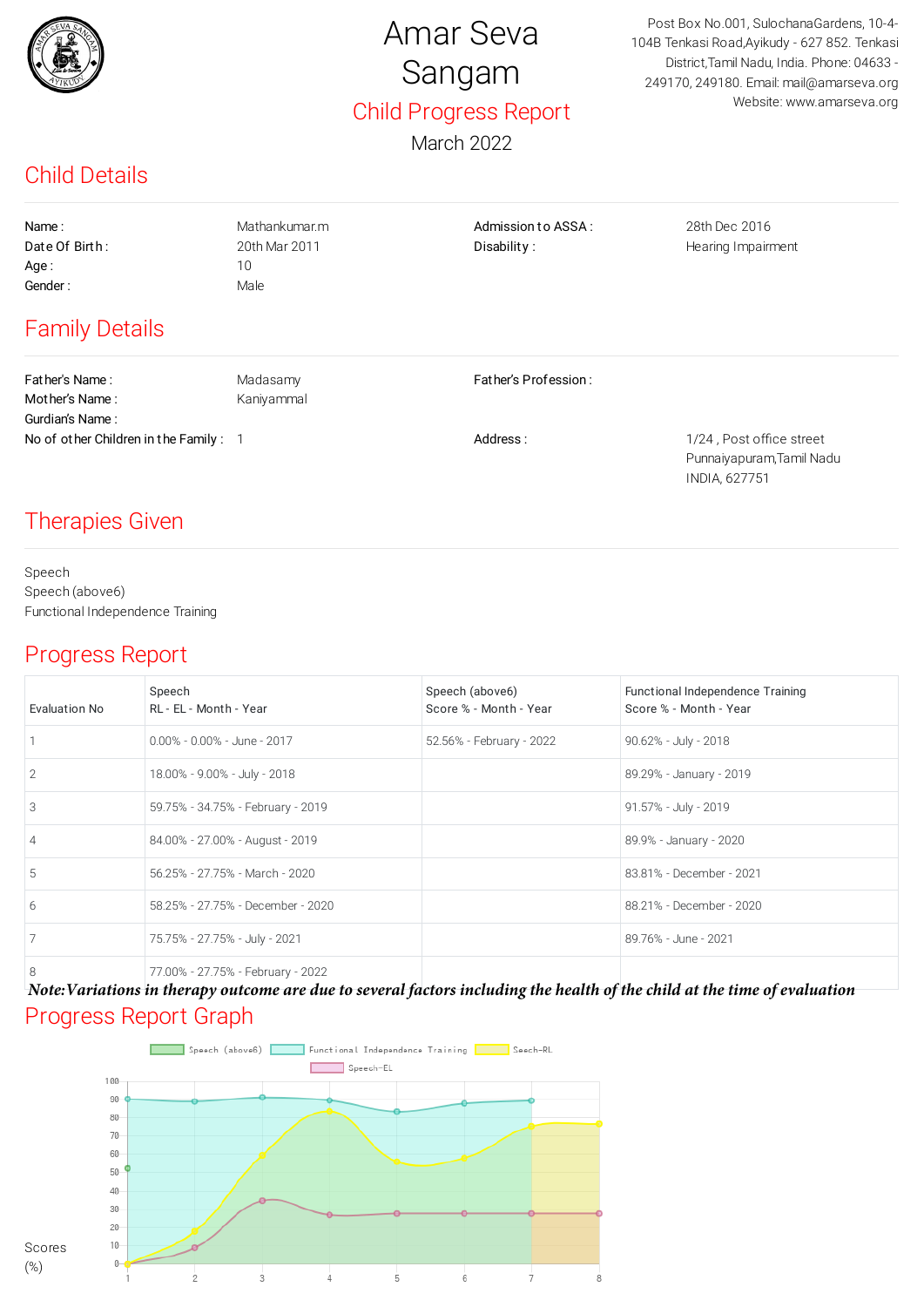

# Amar Seva Sangam Child Progress Report

March 2022

Post Box No.001, SulochanaGardens, 10-4- 104B Tenkasi Road,Ayikudy - 627 852. Tenkasi District,Tamil Nadu, India. Phone: 04633 - 249170, 249180. Email: mail@amarseva.org Website: www.amarseva.org

### Child Details

Age : 10 Gender : Male

Name : The Mathankumar.m Communication of Mathankumar.m Admission to ASSA : 28th Dec 2016 Date Of Birth: 20th Mar 2011 Disability: District Searing Impairment

## Family Details

Father's Name : Madasamy Father's Profession : Mother's Name : Kaniyammal Gurdian's Name : No of other Children in the Family : 1 and 1/24, Post office street in the Family : 1

Punnaiyapuram,Tamil Nadu INDIA, 627751

#### Therapies Given

Speech Speech (above6) Functional Independence Training

#### Progress Report

| Evaluation No  | Speech<br>RL - EL - Month - Year  | Speech (above6)<br>Score % - Month - Year | Functional Independence Training<br>Score % - Month - Year |
|----------------|-----------------------------------|-------------------------------------------|------------------------------------------------------------|
|                | $0.00\% - 0.00\% -$ June - 2017   | 52.56% - February - 2022                  | 90.62% - July - 2018                                       |
| 2              | 18.00% - 9.00% - July - 2018      |                                           | 89.29% - January - 2019                                    |
| 3              | 59.75% - 34.75% - February - 2019 |                                           | 91.57% - July - 2019                                       |
| $\overline{4}$ | 84.00% - 27.00% - August - 2019   |                                           | 89.9% - January - 2020                                     |
| 5              | 56.25% - 27.75% - March - 2020    |                                           | 83.81% - December - 2021                                   |
| 6              | 58.25% - 27.75% - December - 2020 |                                           | 88.21% - December - 2020                                   |
|                | 75.75% - 27.75% - July - 2021     |                                           | 89.76% - June - 2021                                       |
| 8              | 77.00% - 27.75% - February - 2022 |                                           |                                                            |

Progress Report Graph *Note:Variations in therapy outcome are due to several factors including the health of the child at the time of evaluation*